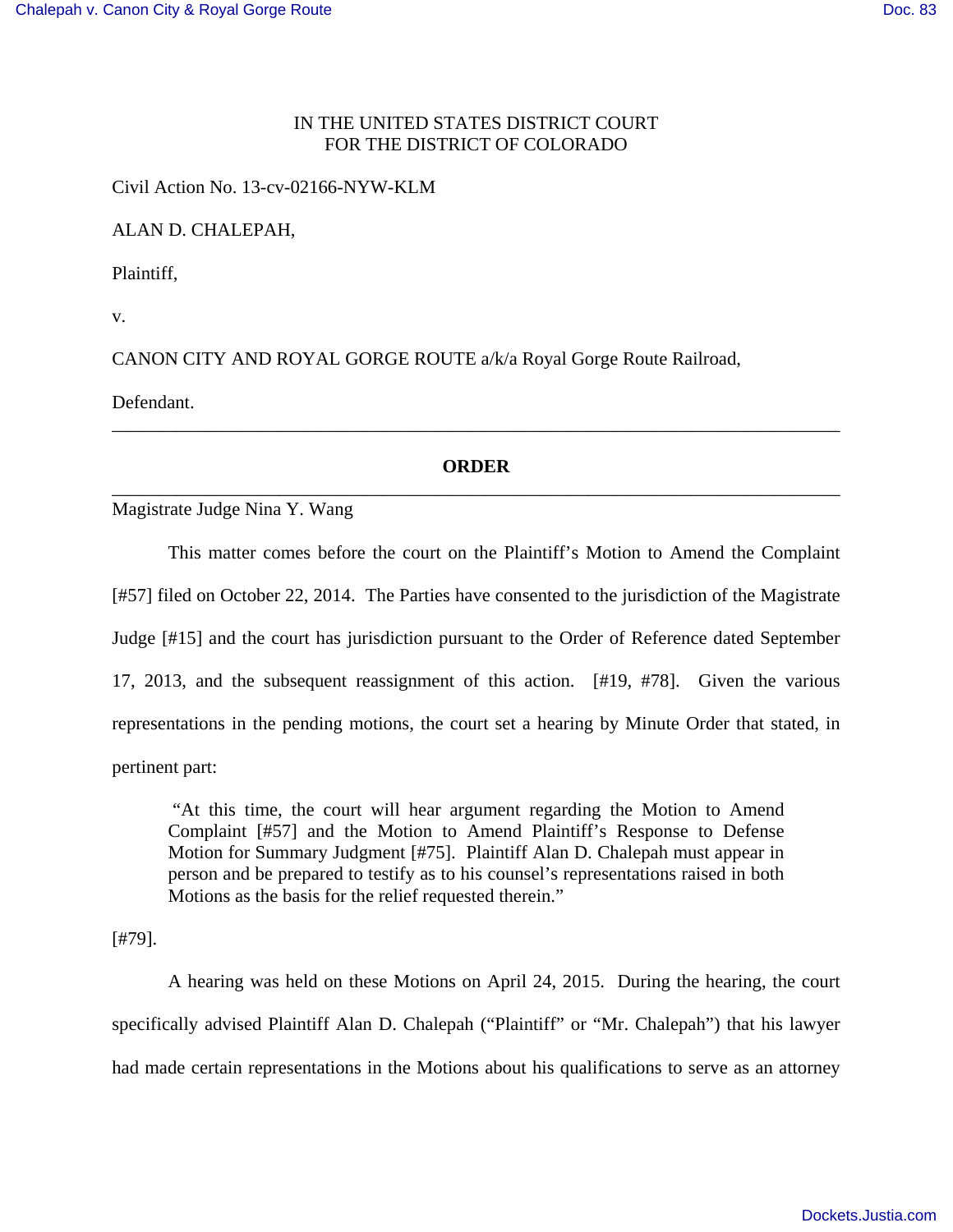## IN THE UNITED STATES DISTRICT COURT FOR THE DISTRICT OF COLORADO

Civil Action No. 13-cv-02166-NYW-KLM

ALAN D. CHALEPAH,

Plaintiff,

v.

CANON CITY AND ROYAL GORGE ROUTE a/k/a Royal Gorge Route Railroad,

Defendant.

# **ORDER** \_\_\_\_\_\_\_\_\_\_\_\_\_\_\_\_\_\_\_\_\_\_\_\_\_\_\_\_\_\_\_\_\_\_\_\_\_\_\_\_\_\_\_\_\_\_\_\_\_\_\_\_\_\_\_\_\_\_\_\_\_\_\_\_\_\_\_\_\_\_\_\_\_\_\_\_\_\_

\_\_\_\_\_\_\_\_\_\_\_\_\_\_\_\_\_\_\_\_\_\_\_\_\_\_\_\_\_\_\_\_\_\_\_\_\_\_\_\_\_\_\_\_\_\_\_\_\_\_\_\_\_\_\_\_\_\_\_\_\_\_\_\_\_\_\_\_\_\_\_\_\_\_\_\_\_\_

## Magistrate Judge Nina Y. Wang

This matter comes before the court on the Plaintiff's Motion to Amend the Complaint [#57] filed on October 22, 2014. The Parties have consented to the jurisdiction of the Magistrate Judge [#15] and the court has jurisdiction pursuant to the Order of Reference dated September 17, 2013, and the subsequent reassignment of this action. [#19, #78]. Given the various representations in the pending motions, the court set a hearing by Minute Order that stated, in pertinent part:

 "At this time, the court will hear argument regarding the Motion to Amend Complaint [#57] and the Motion to Amend Plaintiff's Response to Defense Motion for Summary Judgment [#75]. Plaintiff Alan D. Chalepah must appear in person and be prepared to testify as to his counsel's representations raised in both Motions as the basis for the relief requested therein."

[#79].

A hearing was held on these Motions on April 24, 2015. During the hearing, the court specifically advised Plaintiff Alan D. Chalepah ("Plaintiff" or "Mr. Chalepah") that his lawyer had made certain representations in the Motions about his qualifications to serve as an attorney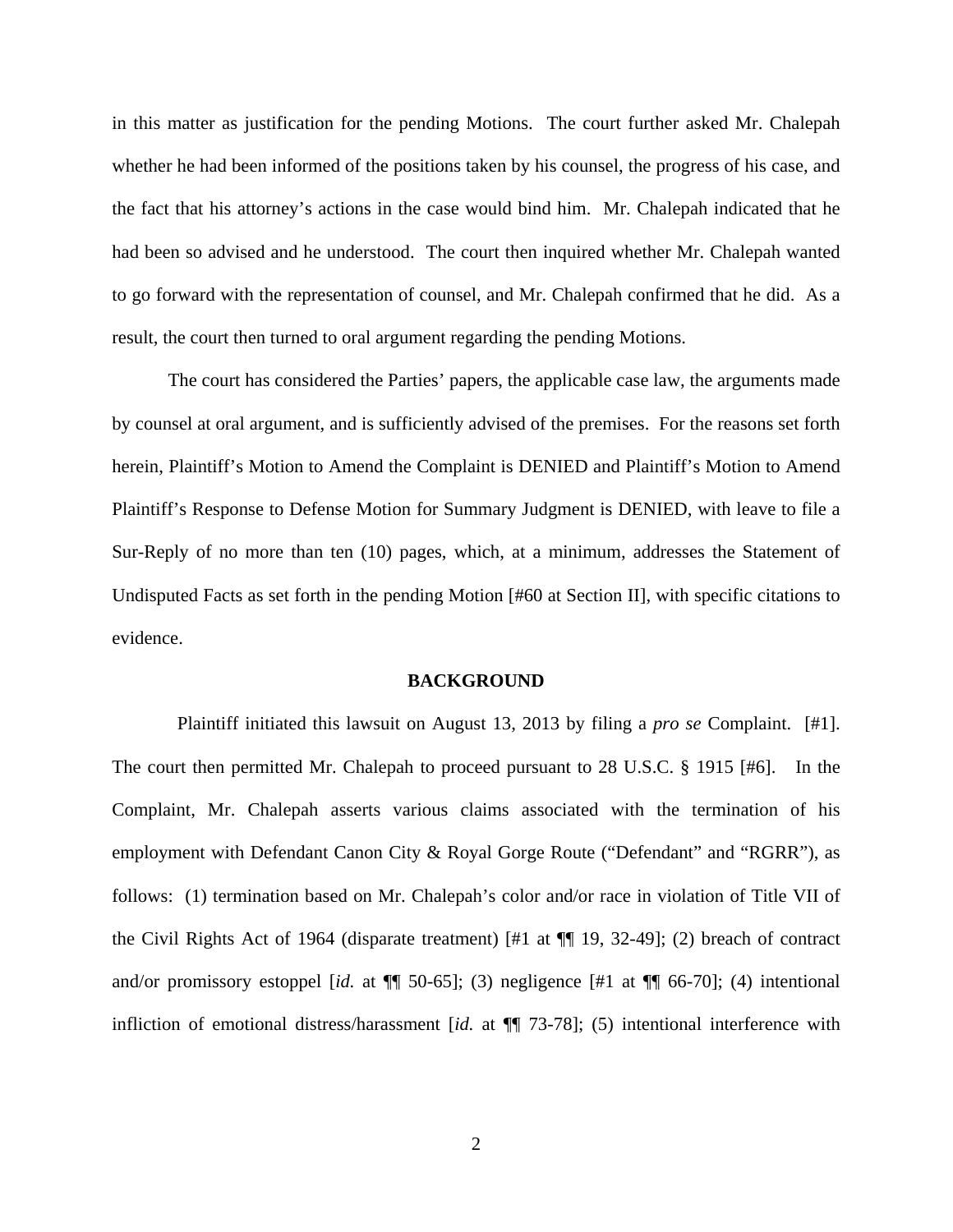in this matter as justification for the pending Motions. The court further asked Mr. Chalepah whether he had been informed of the positions taken by his counsel, the progress of his case, and the fact that his attorney's actions in the case would bind him. Mr. Chalepah indicated that he had been so advised and he understood. The court then inquired whether Mr. Chalepah wanted to go forward with the representation of counsel, and Mr. Chalepah confirmed that he did. As a result, the court then turned to oral argument regarding the pending Motions.

The court has considered the Parties' papers, the applicable case law, the arguments made by counsel at oral argument, and is sufficiently advised of the premises. For the reasons set forth herein, Plaintiff's Motion to Amend the Complaint is DENIED and Plaintiff's Motion to Amend Plaintiff's Response to Defense Motion for Summary Judgment is DENIED, with leave to file a Sur-Reply of no more than ten (10) pages, which, at a minimum, addresses the Statement of Undisputed Facts as set forth in the pending Motion [#60 at Section II], with specific citations to evidence.

#### **BACKGROUND**

 Plaintiff initiated this lawsuit on August 13, 2013 by filing a *pro se* Complaint. [#1]. The court then permitted Mr. Chalepah to proceed pursuant to 28 U.S.C. § 1915 [#6]. In the Complaint, Mr. Chalepah asserts various claims associated with the termination of his employment with Defendant Canon City & Royal Gorge Route ("Defendant" and "RGRR"), as follows: (1) termination based on Mr. Chalepah's color and/or race in violation of Title VII of the Civil Rights Act of 1964 (disparate treatment) [#1 at ¶¶ 19, 32-49]; (2) breach of contract and/or promissory estoppel [*id.* at ¶¶ 50-65]; (3) negligence [#1 at ¶¶ 66-70]; (4) intentional infliction of emotional distress/harassment [*id.* at ¶¶ 73-78]; (5) intentional interference with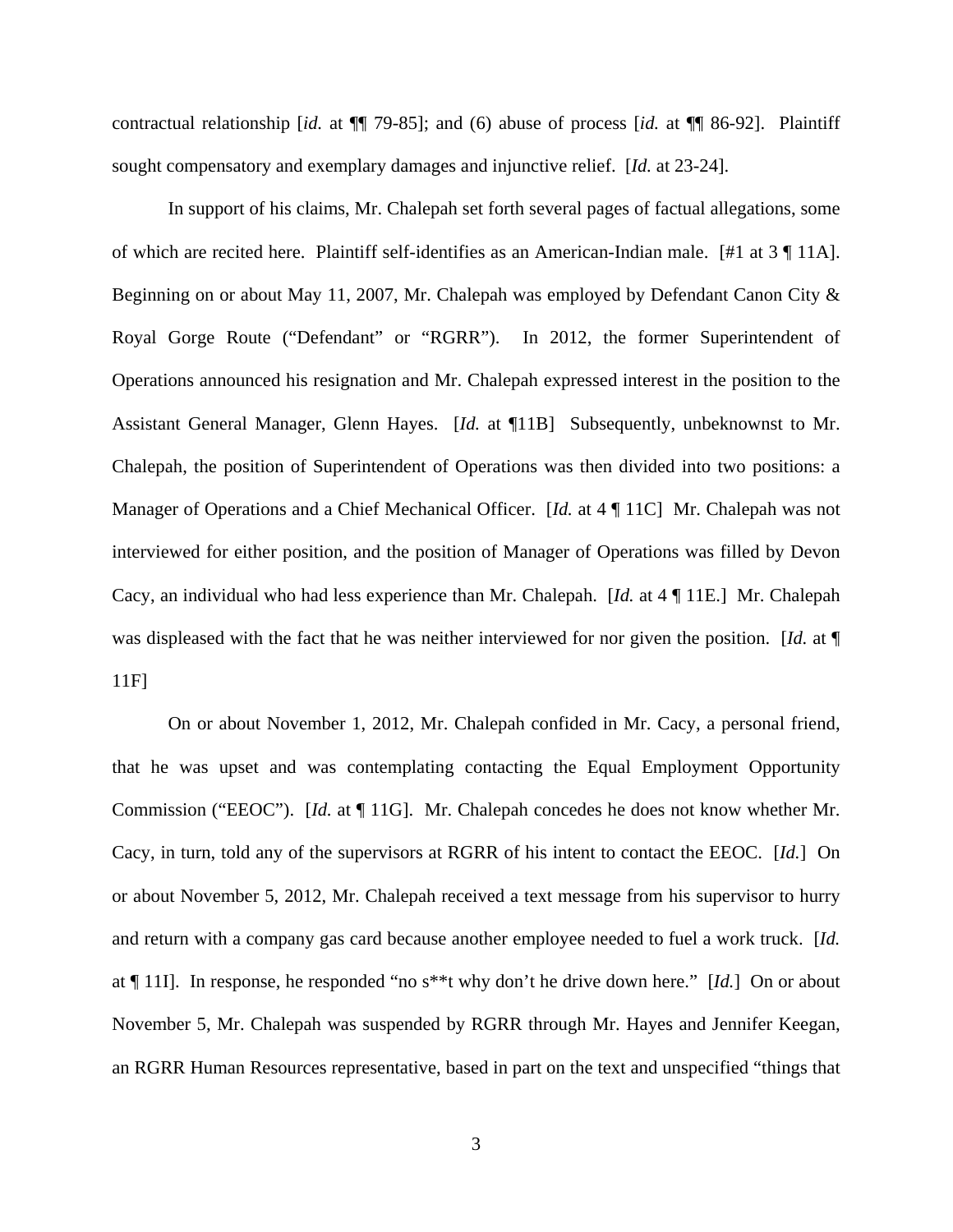contractual relationship [*id.* at ¶¶ 79-85]; and (6) abuse of process [*id.* at ¶¶ 86-92]. Plaintiff sought compensatory and exemplary damages and injunctive relief. [*Id.* at 23-24].

In support of his claims, Mr. Chalepah set forth several pages of factual allegations, some of which are recited here. Plaintiff self-identifies as an American-Indian male. [#1 at 3 ¶ 11A]. Beginning on or about May 11, 2007, Mr. Chalepah was employed by Defendant Canon City & Royal Gorge Route ("Defendant" or "RGRR"). In 2012, the former Superintendent of Operations announced his resignation and Mr. Chalepah expressed interest in the position to the Assistant General Manager, Glenn Hayes. [*Id.* at ¶11B] Subsequently, unbeknownst to Mr. Chalepah, the position of Superintendent of Operations was then divided into two positions: a Manager of Operations and a Chief Mechanical Officer. [*Id.* at 4 ¶ 11C] Mr. Chalepah was not interviewed for either position, and the position of Manager of Operations was filled by Devon Cacy, an individual who had less experience than Mr. Chalepah. [*Id.* at 4 ¶ 11E.] Mr. Chalepah was displeased with the fact that he was neither interviewed for nor given the position. [*Id.* at ¶ 11F]

On or about November 1, 2012, Mr. Chalepah confided in Mr. Cacy, a personal friend, that he was upset and was contemplating contacting the Equal Employment Opportunity Commission ("EEOC"). [*Id.* at ¶ 11G]. Mr. Chalepah concedes he does not know whether Mr. Cacy, in turn, told any of the supervisors at RGRR of his intent to contact the EEOC. [*Id.*] On or about November 5, 2012, Mr. Chalepah received a text message from his supervisor to hurry and return with a company gas card because another employee needed to fuel a work truck. [*Id.* at ¶ 11I]. In response, he responded "no s\*\*t why don't he drive down here." [*Id.*] On or about November 5, Mr. Chalepah was suspended by RGRR through Mr. Hayes and Jennifer Keegan, an RGRR Human Resources representative, based in part on the text and unspecified "things that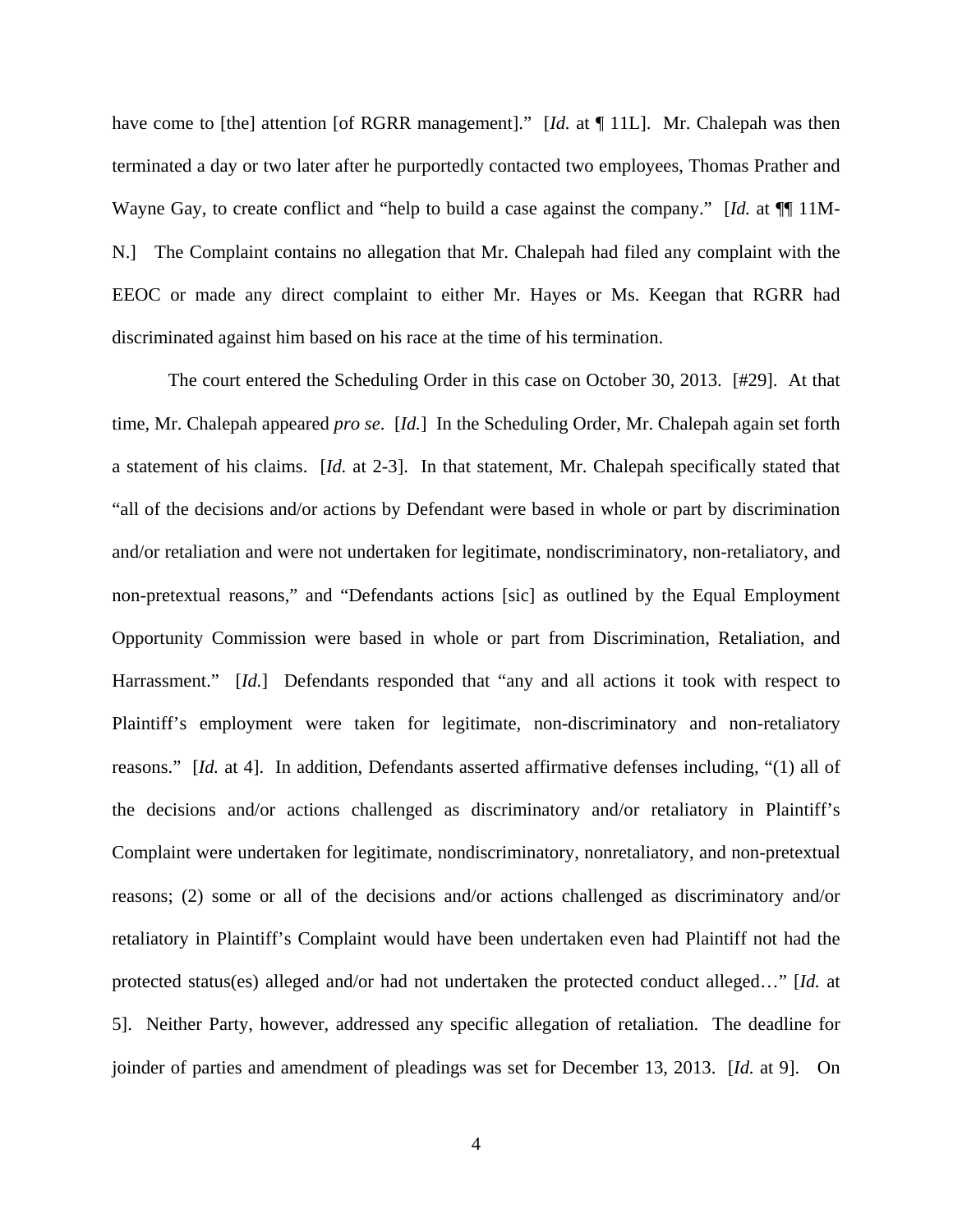have come to [the] attention [of RGRR management]." [*Id.* at ¶ 11L]. Mr. Chalepah was then terminated a day or two later after he purportedly contacted two employees, Thomas Prather and Wayne Gay, to create conflict and "help to build a case against the company." [*Id.* at  $\P\P$  11M-N.] The Complaint contains no allegation that Mr. Chalepah had filed any complaint with the EEOC or made any direct complaint to either Mr. Hayes or Ms. Keegan that RGRR had discriminated against him based on his race at the time of his termination.

The court entered the Scheduling Order in this case on October 30, 2013. [#29]. At that time, Mr. Chalepah appeared *pro se*. [*Id.*]In the Scheduling Order, Mr. Chalepah again set forth a statement of his claims. [*Id.* at 2-3]. In that statement, Mr. Chalepah specifically stated that "all of the decisions and/or actions by Defendant were based in whole or part by discrimination and/or retaliation and were not undertaken for legitimate, nondiscriminatory, non-retaliatory, and non-pretextual reasons," and "Defendants actions [sic] as outlined by the Equal Employment Opportunity Commission were based in whole or part from Discrimination, Retaliation, and Harrassment." [*Id.*] Defendants responded that "any and all actions it took with respect to Plaintiff's employment were taken for legitimate, non-discriminatory and non-retaliatory reasons." [*Id.* at 4]. In addition, Defendants asserted affirmative defenses including, "(1) all of the decisions and/or actions challenged as discriminatory and/or retaliatory in Plaintiff's Complaint were undertaken for legitimate, nondiscriminatory, nonretaliatory, and non-pretextual reasons; (2) some or all of the decisions and/or actions challenged as discriminatory and/or retaliatory in Plaintiff's Complaint would have been undertaken even had Plaintiff not had the protected status(es) alleged and/or had not undertaken the protected conduct alleged…" [*Id.* at 5]. Neither Party, however, addressed any specific allegation of retaliation. The deadline for joinder of parties and amendment of pleadings was set for December 13, 2013. [*Id.* at 9]. On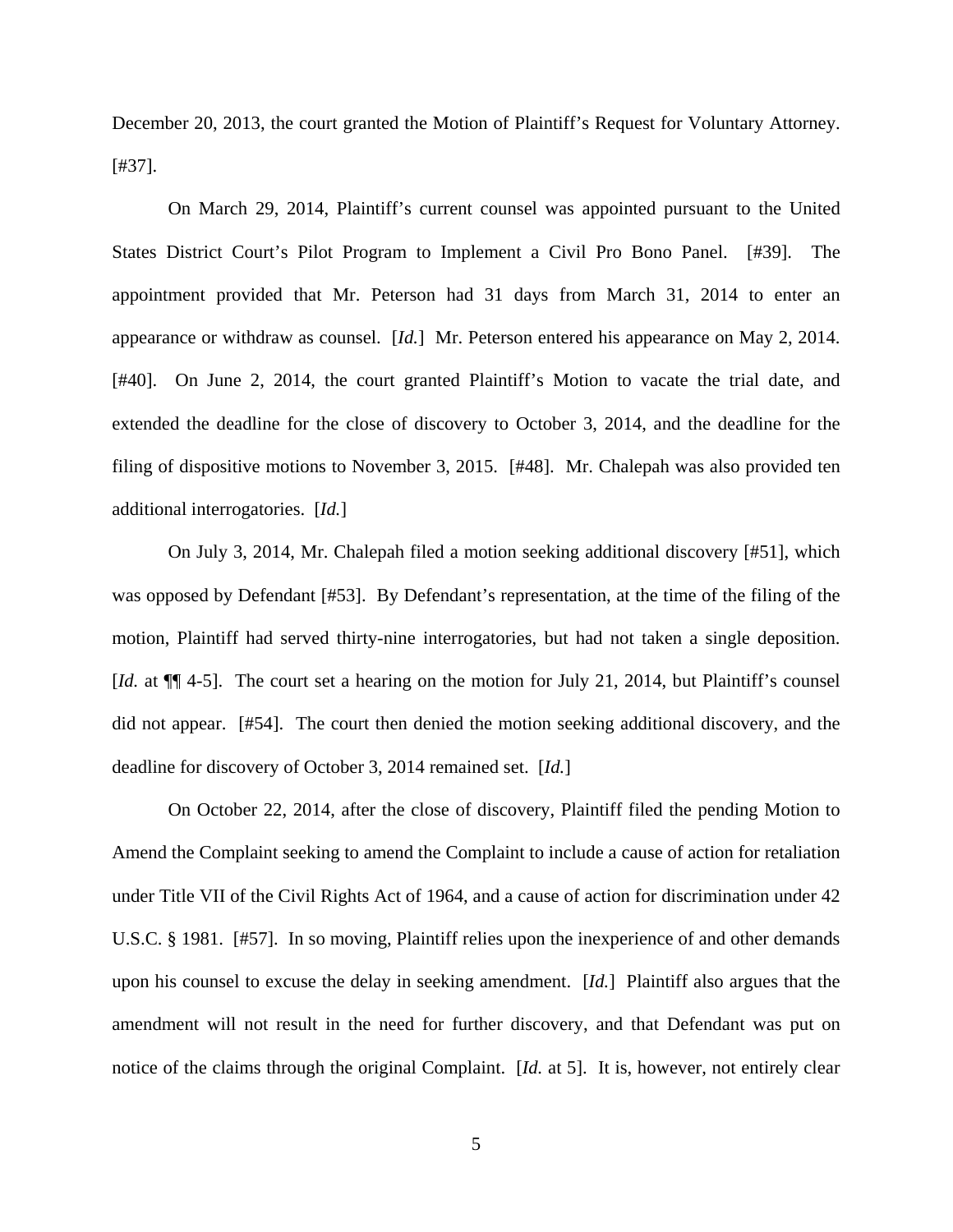December 20, 2013, the court granted the Motion of Plaintiff's Request for Voluntary Attorney. [#37].

On March 29, 2014, Plaintiff's current counsel was appointed pursuant to the United States District Court's Pilot Program to Implement a Civil Pro Bono Panel. [#39]. The appointment provided that Mr. Peterson had 31 days from March 31, 2014 to enter an appearance or withdraw as counsel. [*Id.*] Mr. Peterson entered his appearance on May 2, 2014. [#40]. On June 2, 2014, the court granted Plaintiff's Motion to vacate the trial date, and extended the deadline for the close of discovery to October 3, 2014, and the deadline for the filing of dispositive motions to November 3, 2015. [#48]. Mr. Chalepah was also provided ten additional interrogatories. [*Id.*]

On July 3, 2014, Mr. Chalepah filed a motion seeking additional discovery [#51], which was opposed by Defendant [#53]. By Defendant's representation, at the time of the filing of the motion, Plaintiff had served thirty-nine interrogatories, but had not taken a single deposition. [*Id.* at  $\P$ ] 4-5]. The court set a hearing on the motion for July 21, 2014, but Plaintiff's counsel did not appear. [#54]. The court then denied the motion seeking additional discovery, and the deadline for discovery of October 3, 2014 remained set. [*Id.*]

On October 22, 2014, after the close of discovery, Plaintiff filed the pending Motion to Amend the Complaint seeking to amend the Complaint to include a cause of action for retaliation under Title VII of the Civil Rights Act of 1964, and a cause of action for discrimination under 42 U.S.C. § 1981. [#57]. In so moving, Plaintiff relies upon the inexperience of and other demands upon his counsel to excuse the delay in seeking amendment. [*Id.*] Plaintiff also argues that the amendment will not result in the need for further discovery, and that Defendant was put on notice of the claims through the original Complaint. [*Id.* at 5]. It is, however, not entirely clear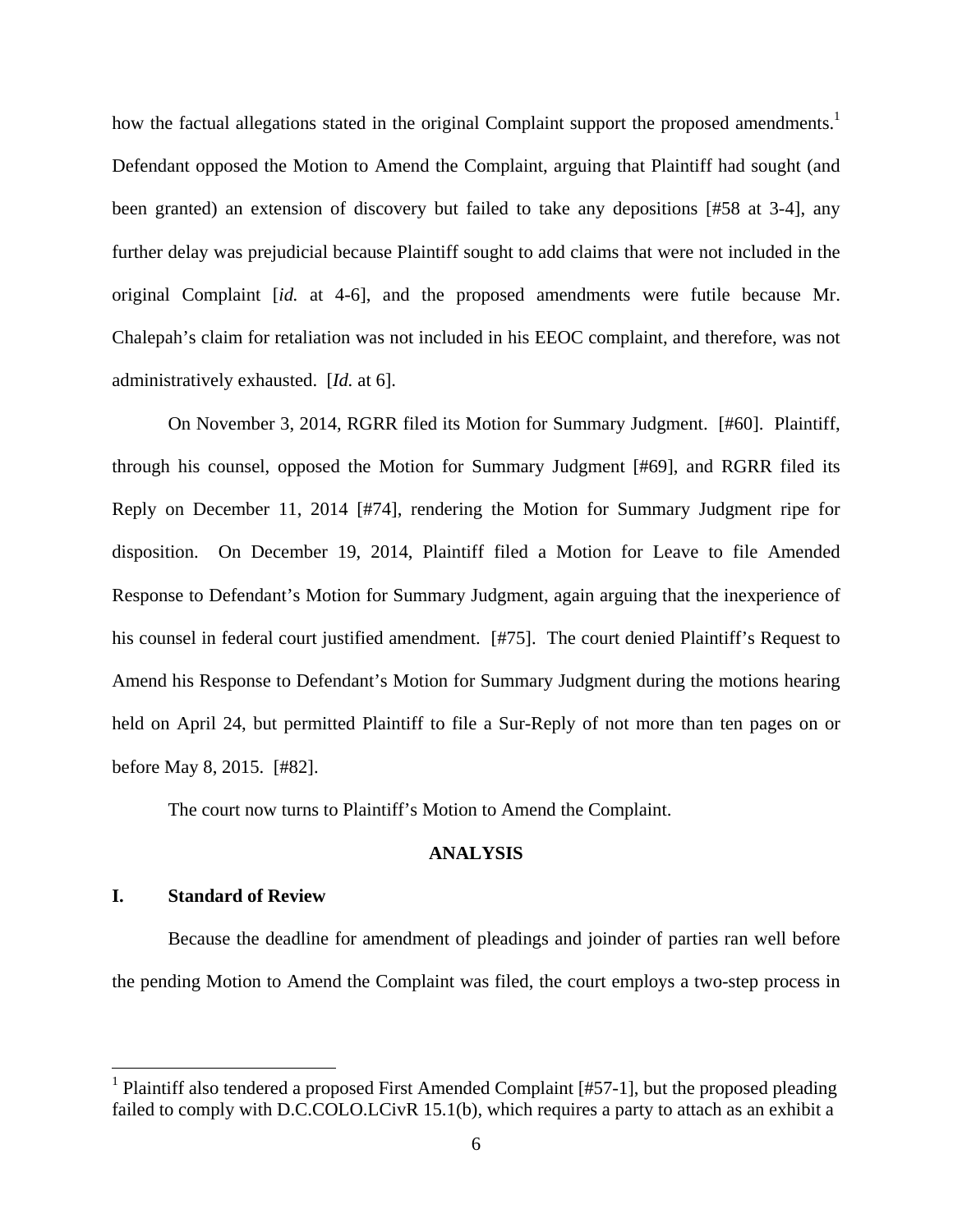how the factual allegations stated in the original Complaint support the proposed amendments.<sup>1</sup> Defendant opposed the Motion to Amend the Complaint, arguing that Plaintiff had sought (and been granted) an extension of discovery but failed to take any depositions [#58 at 3-4], any further delay was prejudicial because Plaintiff sought to add claims that were not included in the original Complaint [*id.* at 4-6], and the proposed amendments were futile because Mr. Chalepah's claim for retaliation was not included in his EEOC complaint, and therefore, was not administratively exhausted. [*Id.* at 6].

On November 3, 2014, RGRR filed its Motion for Summary Judgment. [#60]. Plaintiff, through his counsel, opposed the Motion for Summary Judgment [#69], and RGRR filed its Reply on December 11, 2014 [#74], rendering the Motion for Summary Judgment ripe for disposition. On December 19, 2014, Plaintiff filed a Motion for Leave to file Amended Response to Defendant's Motion for Summary Judgment, again arguing that the inexperience of his counsel in federal court justified amendment. [#75]. The court denied Plaintiff's Request to Amend his Response to Defendant's Motion for Summary Judgment during the motions hearing held on April 24, but permitted Plaintiff to file a Sur-Reply of not more than ten pages on or before May 8, 2015. [#82].

The court now turns to Plaintiff's Motion to Amend the Complaint.

### **ANALYSIS**

### **I. Standard of Review**

 $\overline{a}$ 

Because the deadline for amendment of pleadings and joinder of parties ran well before the pending Motion to Amend the Complaint was filed, the court employs a two-step process in

<sup>&</sup>lt;sup>1</sup> Plaintiff also tendered a proposed First Amended Complaint [#57-1], but the proposed pleading failed to comply with D.C.COLO.LCivR 15.1(b), which requires a party to attach as an exhibit a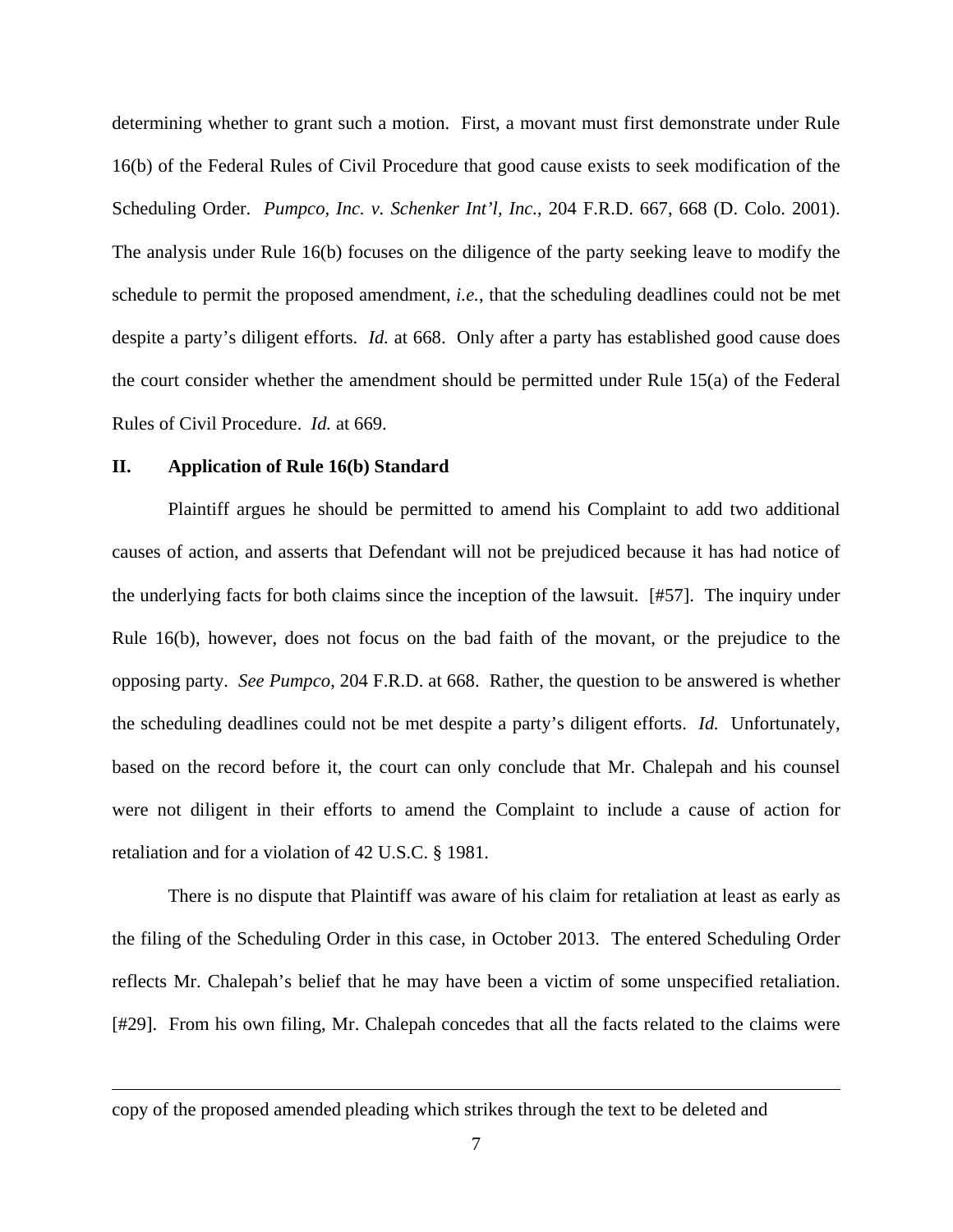determining whether to grant such a motion. First, a movant must first demonstrate under Rule 16(b) of the Federal Rules of Civil Procedure that good cause exists to seek modification of the Scheduling Order. *Pumpco, Inc. v. Schenker Int'l, Inc.*, 204 F.R.D. 667, 668 (D. Colo. 2001). The analysis under Rule 16(b) focuses on the diligence of the party seeking leave to modify the schedule to permit the proposed amendment, *i.e.*, that the scheduling deadlines could not be met despite a party's diligent efforts. *Id.* at 668. Only after a party has established good cause does the court consider whether the amendment should be permitted under Rule 15(a) of the Federal Rules of Civil Procedure. *Id.* at 669.

### **II. Application of Rule 16(b) Standard**

<u>.</u>

Plaintiff argues he should be permitted to amend his Complaint to add two additional causes of action, and asserts that Defendant will not be prejudiced because it has had notice of the underlying facts for both claims since the inception of the lawsuit. [#57]. The inquiry under Rule 16(b), however, does not focus on the bad faith of the movant, or the prejudice to the opposing party. *See Pumpco*, 204 F.R.D. at 668. Rather, the question to be answered is whether the scheduling deadlines could not be met despite a party's diligent efforts. *Id.* Unfortunately, based on the record before it, the court can only conclude that Mr. Chalepah and his counsel were not diligent in their efforts to amend the Complaint to include a cause of action for retaliation and for a violation of 42 U.S.C. § 1981.

There is no dispute that Plaintiff was aware of his claim for retaliation at least as early as the filing of the Scheduling Order in this case, in October 2013. The entered Scheduling Order reflects Mr. Chalepah's belief that he may have been a victim of some unspecified retaliation. [#29]. From his own filing, Mr. Chalepah concedes that all the facts related to the claims were

copy of the proposed amended pleading which strikes through the text to be deleted and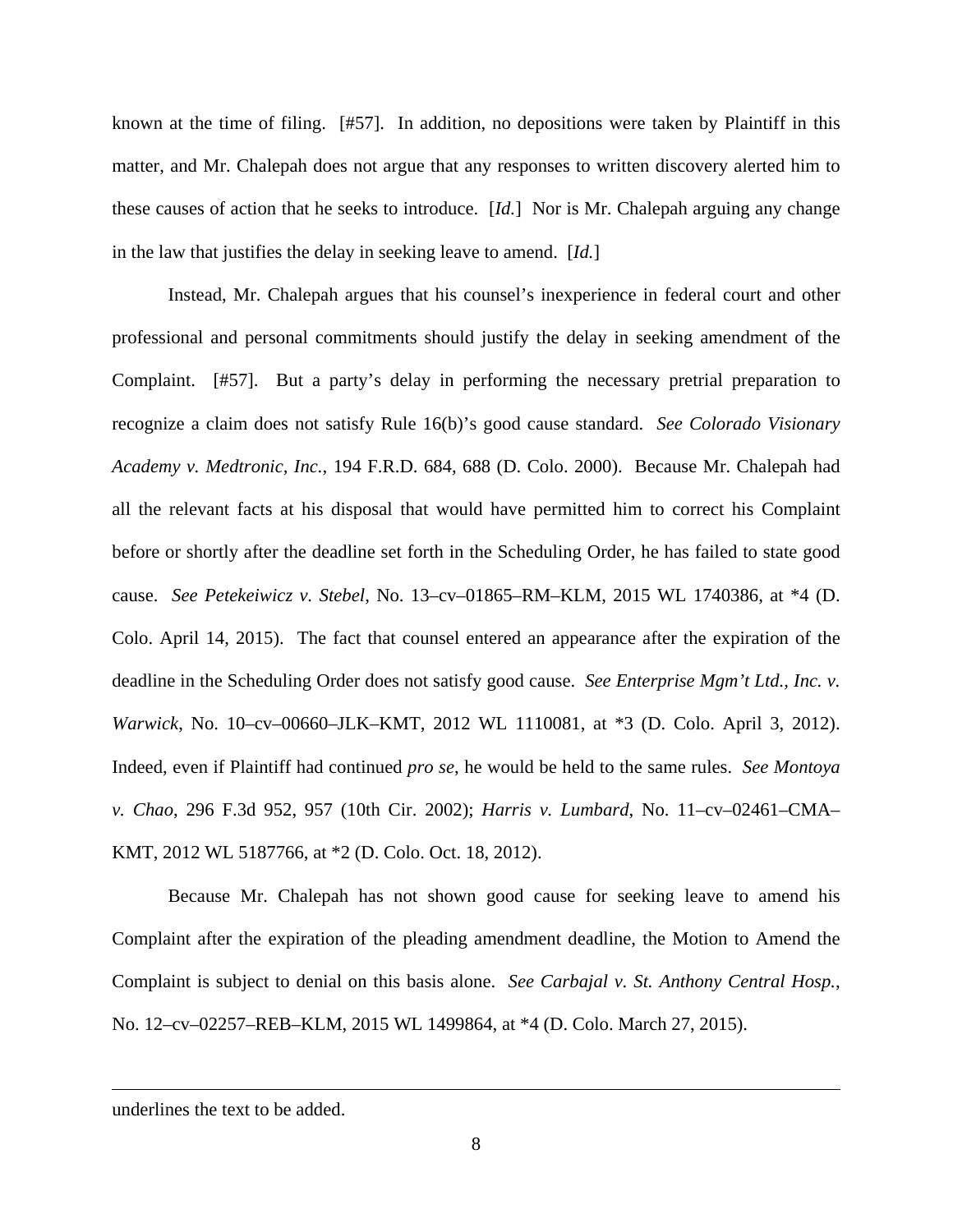known at the time of filing. [#57]. In addition, no depositions were taken by Plaintiff in this matter, and Mr. Chalepah does not argue that any responses to written discovery alerted him to these causes of action that he seeks to introduce. [*Id.*] Nor is Mr. Chalepah arguing any change in the law that justifies the delay in seeking leave to amend. [*Id.*]

Instead, Mr. Chalepah argues that his counsel's inexperience in federal court and other professional and personal commitments should justify the delay in seeking amendment of the Complaint. [#57]. But a party's delay in performing the necessary pretrial preparation to recognize a claim does not satisfy Rule 16(b)'s good cause standard. *See Colorado Visionary Academy v. Medtronic, Inc.*, 194 F.R.D. 684, 688 (D. Colo. 2000). Because Mr. Chalepah had all the relevant facts at his disposal that would have permitted him to correct his Complaint before or shortly after the deadline set forth in the Scheduling Order, he has failed to state good cause. *See Petekeiwicz v. Stebel*, No. 13–cv–01865–RM–KLM, 2015 WL 1740386, at \*4 (D. Colo. April 14, 2015). The fact that counsel entered an appearance after the expiration of the deadline in the Scheduling Order does not satisfy good cause. *See Enterprise Mgm't Ltd., Inc. v. Warwick*, No. 10–cv–00660–JLK–KMT, 2012 WL 1110081, at \*3 (D. Colo. April 3, 2012). Indeed, even if Plaintiff had continued *pro se*, he would be held to the same rules. *See Montoya v. Chao*, 296 F.3d 952, 957 (10th Cir. 2002); *Harris v. Lumbard*, No. 11–cv–02461–CMA– KMT, 2012 WL 5187766, at \*2 (D. Colo. Oct. 18, 2012).

 Because Mr. Chalepah has not shown good cause for seeking leave to amend his Complaint after the expiration of the pleading amendment deadline, the Motion to Amend the Complaint is subject to denial on this basis alone. *See Carbajal v. St. Anthony Central Hosp.*, No. 12–cv–02257–REB–KLM, 2015 WL 1499864, at \*4 (D. Colo. March 27, 2015).

 $\overline{a}$ 

underlines the text to be added.